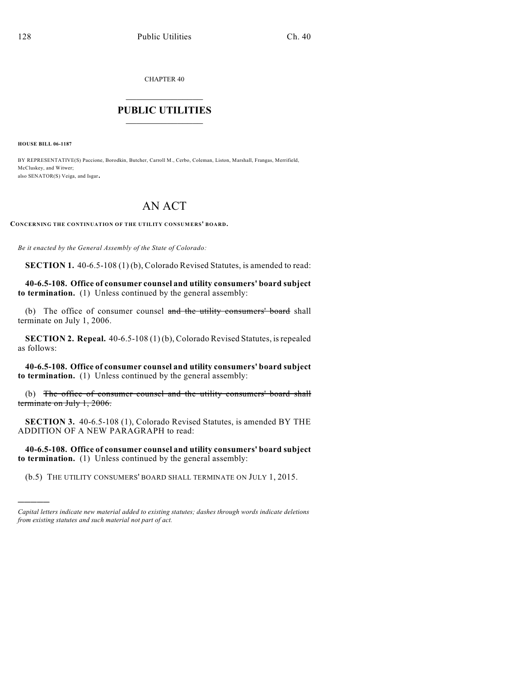CHAPTER 40

## $\mathcal{L}_\text{max}$  . The set of the set of the set of the set of the set of the set of the set of the set of the set of the set of the set of the set of the set of the set of the set of the set of the set of the set of the set **PUBLIC UTILITIES** \_\_\_\_\_\_\_\_\_\_\_\_\_\_\_

**HOUSE BILL 06-1187**

)))))

BY REPRESENTATIVE(S) Paccione, Borodkin, Butcher, Carroll M., Cerbo, Coleman, Liston, Marshall, Frangas, Merrifield, McCluskey, and Witwer; also SENATOR(S) Veiga, and Isgar.

## AN ACT

**CONCERNING THE CONTINUATION OF THE UTILITY CONSUMERS' BOARD.**

*Be it enacted by the General Assembly of the State of Colorado:*

**SECTION 1.** 40-6.5-108 (1) (b), Colorado Revised Statutes, is amended to read:

**40-6.5-108. Office of consumer counsel and utility consumers' board subject to termination.** (1) Unless continued by the general assembly:

(b) The office of consumer counsel and the utility consumers' board shall terminate on July 1, 2006.

**SECTION 2. Repeal.** 40-6.5-108 (1) (b), Colorado Revised Statutes, is repealed as follows:

**40-6.5-108. Office of consumer counsel and utility consumers' board subject to termination.** (1) Unless continued by the general assembly:

(b) The office of consumer counsel and the utility consumers' board shall terminate on July 1, 2006.

**SECTION 3.** 40-6.5-108 (1), Colorado Revised Statutes, is amended BY THE ADDITION OF A NEW PARAGRAPH to read:

**40-6.5-108. Office of consumer counsel and utility consumers' board subject to termination.** (1) Unless continued by the general assembly:

(b.5) THE UTILITY CONSUMERS' BOARD SHALL TERMINATE ON JULY 1, 2015.

*Capital letters indicate new material added to existing statutes; dashes through words indicate deletions from existing statutes and such material not part of act.*